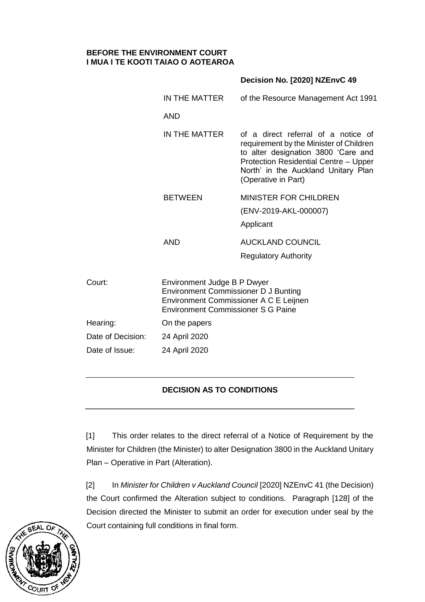#### **BEFORE THE ENVIRONMENT COURT I MUA I TE KOOTI TAIAO O AOTEAROA**

|                   |                                                                                                                                                                   | Decision No. [2020] NZEnvC 49                                                                                                                                                                                                |  |
|-------------------|-------------------------------------------------------------------------------------------------------------------------------------------------------------------|------------------------------------------------------------------------------------------------------------------------------------------------------------------------------------------------------------------------------|--|
|                   | IN THE MATTER                                                                                                                                                     | of the Resource Management Act 1991                                                                                                                                                                                          |  |
|                   | <b>AND</b>                                                                                                                                                        |                                                                                                                                                                                                                              |  |
|                   | IN THE MATTER                                                                                                                                                     | of a direct referral of a notice of<br>requirement by the Minister of Children<br>to alter designation 3800 'Care and<br>Protection Residential Centre - Upper<br>North' in the Auckland Unitary Plan<br>(Operative in Part) |  |
|                   | <b>BETWEEN</b>                                                                                                                                                    | <b>MINISTER FOR CHILDREN</b><br>(ENV-2019-AKL-000007)<br>Applicant                                                                                                                                                           |  |
|                   | <b>AND</b>                                                                                                                                                        | <b>AUCKLAND COUNCIL</b><br><b>Regulatory Authority</b>                                                                                                                                                                       |  |
| Court:            | Environment Judge B P Dwyer<br><b>Environment Commissioner D J Bunting</b><br>Environment Commissioner A C E Leijnen<br><b>Environment Commissioner S G Paine</b> |                                                                                                                                                                                                                              |  |
| Hearing:          | On the papers                                                                                                                                                     |                                                                                                                                                                                                                              |  |
| Date of Decision: | 24 April 2020                                                                                                                                                     |                                                                                                                                                                                                                              |  |
| Date of Issue:    | 24 April 2020                                                                                                                                                     |                                                                                                                                                                                                                              |  |
|                   |                                                                                                                                                                   |                                                                                                                                                                                                                              |  |

# **DECISION AS TO CONDITIONS**

[1] This order relates to the direct referral of a Notice of Requirement by the Minister for Children (the Minister) to alter Designation 3800 in the Auckland Unitary Plan – Operative in Part (Alteration).

[2] In *Minister for Children v Auckland Council* [2020] NZEnvC 41 (the Decision) the Court confirmed the Alteration subject to conditions. Paragraph [128] of the Decision directed the Minister to submit an order for execution under seal by the Court containing full conditions in final form.

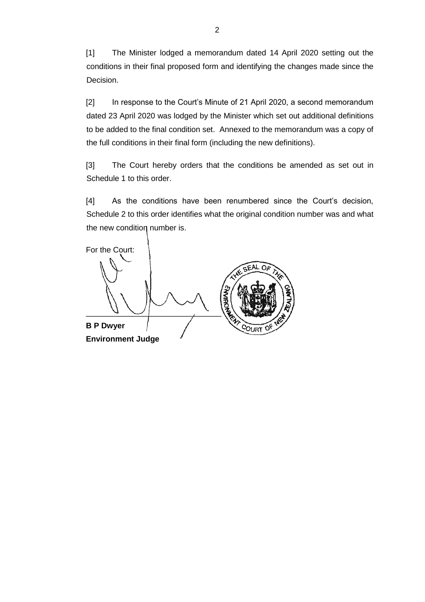[1] The Minister lodged a memorandum dated 14 April 2020 setting out the conditions in their final proposed form and identifying the changes made since the Decision.

[2] In response to the Court's Minute of 21 April 2020, a second memorandum dated 23 April 2020 was lodged by the Minister which set out additional definitions to be added to the final condition set. Annexed to the memorandum was a copy of the full conditions in their final form (including the new definitions).

[3] The Court hereby orders that the conditions be amended as set out in Schedule 1 to this order.

[4] As the conditions have been renumbered since the Court's decision, Schedule 2 to this order identifies what the original condition number was and what the new condition number is.

For the Court:  $\overline{\mathcal{L}}$ **B P Dwyer Environment Judge**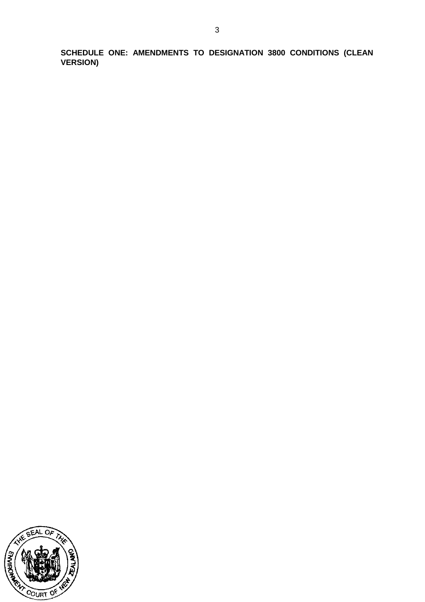**SCHEDULE ONE: AMENDMENTS TO DESIGNATION 3800 CONDITIONS (CLEAN VERSION)**

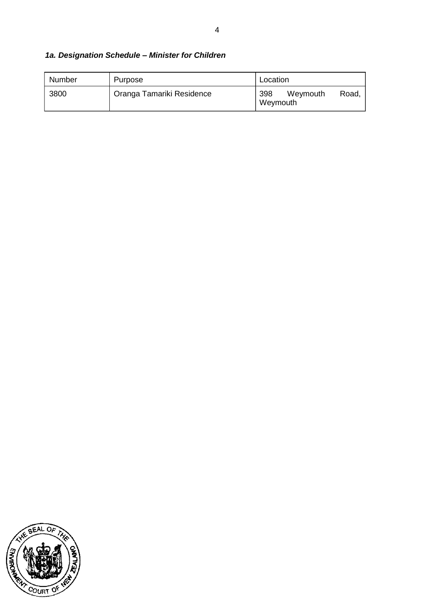# *1a. Designation Schedule – Minister for Children*

| Number | Purpose                   | Location                             |
|--------|---------------------------|--------------------------------------|
| 3800   | Oranga Tamariki Residence | 398<br>Weymouth<br>Road.<br>Weymouth |

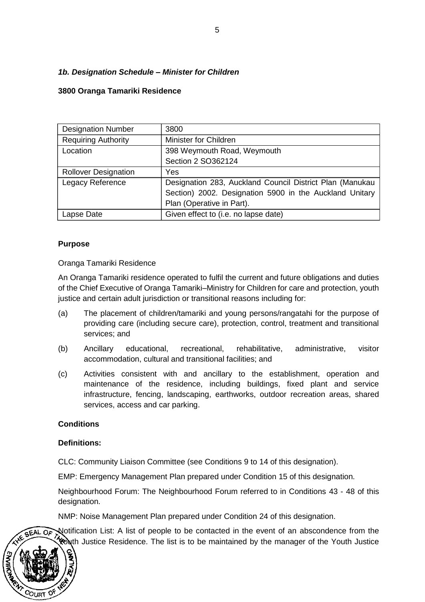### *1b. Designation Schedule – Minister for Children*

#### **3800 Oranga Tamariki Residence**

| <b>Designation Number</b>   | 3800                                                     |
|-----------------------------|----------------------------------------------------------|
| <b>Requiring Authority</b>  | Minister for Children                                    |
| Location                    | 398 Weymouth Road, Weymouth                              |
|                             | Section 2 SO362124                                       |
| <b>Rollover Designation</b> | Yes                                                      |
| Legacy Reference            | Designation 283, Auckland Council District Plan (Manukau |
|                             | Section) 2002. Designation 5900 in the Auckland Unitary  |
|                             | Plan (Operative in Part).                                |
| Lapse Date                  | Given effect to (i.e. no lapse date)                     |

#### **Purpose**

Oranga Tamariki Residence

An Oranga Tamariki residence operated to fulfil the current and future obligations and duties of the Chief Executive of Oranga Tamariki–Ministry for Children for care and protection, youth justice and certain adult jurisdiction or transitional reasons including for:

- (a) The placement of children/tamariki and young persons/rangatahi for the purpose of providing care (including secure care), protection, control, treatment and transitional services; and
- (b) Ancillary educational, recreational, rehabilitative, administrative, visitor accommodation, cultural and transitional facilities; and
- (c) Activities consistent with and ancillary to the establishment, operation and maintenance of the residence, including buildings, fixed plant and service infrastructure, fencing, landscaping, earthworks, outdoor recreation areas, shared services, access and car parking.

#### **Conditions**

#### **Definitions:**

COURT

CLC: Community Liaison Committee (see Conditions 9 to 14 of this designation).

EMP: Emergency Management Plan prepared under Condition 15 of this designation.

Neighbourhood Forum: The Neighbourhood Forum referred to in Conditions 43 - 48 of this designation.

NMP: Noise Management Plan prepared under Condition 24 of this designation.

Notification List: A list of people to be contacted in the event of an abscondence from the OF Youth Justice Residence. The list is to be maintained by the manager of the Youth Justice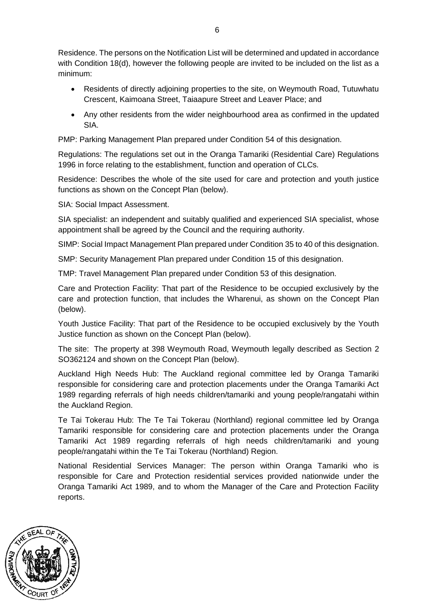Residence. The persons on the Notification List will be determined and updated in accordance with Condition 18(d), however the following people are invited to be included on the list as a minimum:

- Residents of directly adjoining properties to the site, on Weymouth Road, Tutuwhatu Crescent, Kaimoana Street, Taiaapure Street and Leaver Place; and
- Any other residents from the wider neighbourhood area as confirmed in the updated SIA.

PMP: Parking Management Plan prepared under Condition 54 of this designation.

Regulations: The regulations set out in the Oranga Tamariki (Residential Care) Regulations 1996 in force relating to the establishment, function and operation of CLCs.

Residence: Describes the whole of the site used for care and protection and youth justice functions as shown on the Concept Plan (below).

SIA: Social Impact Assessment.

SIA specialist: an independent and suitably qualified and experienced SIA specialist, whose appointment shall be agreed by the Council and the requiring authority.

SIMP: Social Impact Management Plan prepared under Condition 35 to 40 of this designation.

SMP: Security Management Plan prepared under Condition 15 of this designation.

TMP: Travel Management Plan prepared under Condition 53 of this designation.

Care and Protection Facility: That part of the Residence to be occupied exclusively by the care and protection function, that includes the Wharenui, as shown on the Concept Plan (below).

Youth Justice Facility: That part of the Residence to be occupied exclusively by the Youth Justice function as shown on the Concept Plan (below).

The site: The property at 398 Weymouth Road, Weymouth legally described as Section 2 SO362124 and shown on the Concept Plan (below).

Auckland High Needs Hub: The Auckland regional committee led by Oranga Tamariki responsible for considering care and protection placements under the Oranga Tamariki Act 1989 regarding referrals of high needs children/tamariki and young people/rangatahi within the Auckland Region.

Te Tai Tokerau Hub: The Te Tai Tokerau (Northland) regional committee led by Oranga Tamariki responsible for considering care and protection placements under the Oranga Tamariki Act 1989 regarding referrals of high needs children/tamariki and young people/rangatahi within the Te Tai Tokerau (Northland) Region.

National Residential Services Manager: The person within Oranga Tamariki who is responsible for Care and Protection residential services provided nationwide under the Oranga Tamariki Act 1989, and to whom the Manager of the Care and Protection Facility reports.

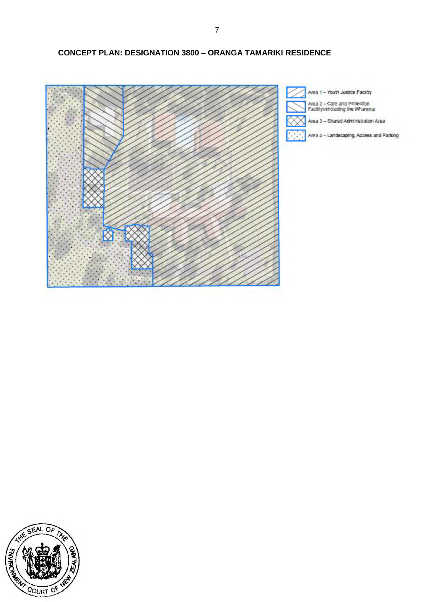### **CONCEPT PLAN: DESIGNATION 3800 – ORANGA TAMARIKI RESIDENCE**



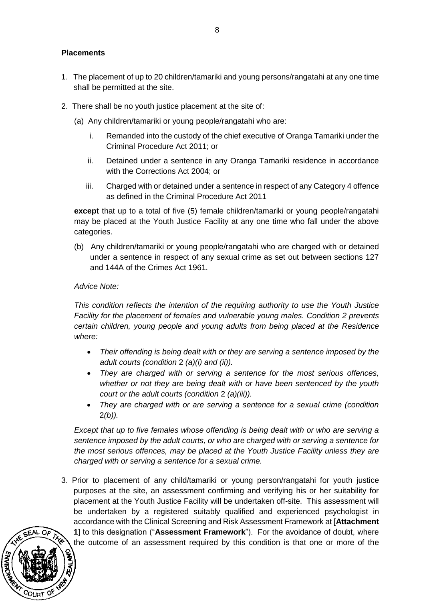### **Placements**

- 1. The placement of up to 20 children/tamariki and young persons/rangatahi at any one time shall be permitted at the site.
- 2. There shall be no youth justice placement at the site of:
	- (a) Any children/tamariki or young people/rangatahi who are:
		- i. Remanded into the custody of the chief executive of Oranga Tamariki under the Criminal Procedure Act 2011; or
		- ii. Detained under a sentence in any Oranga Tamariki residence in accordance with the Corrections Act 2004; or
		- iii. Charged with or detained under a sentence in respect of any Category 4 offence as defined in the Criminal Procedure Act 2011

**except** that up to a total of five (5) female children/tamariki or young people/rangatahi may be placed at the Youth Justice Facility at any one time who fall under the above categories.

(b) Any children/tamariki or young people/rangatahi who are charged with or detained under a sentence in respect of any sexual crime as set out between sections 127 and 144A of the Crimes Act 1961.

#### *Advice Note:*

*This condition reflects the intention of the requiring authority to use the Youth Justice Facility for the placement of females and vulnerable young males. Condition 2 prevents certain children, young people and young adults from being placed at the Residence where:*

- *Their offending is being dealt with or they are serving a sentence imposed by the adult courts (condition* 2 *(a)(i) and (ii)).*
- *They are charged with or serving a sentence for the most serious offences, whether or not they are being dealt with or have been sentenced by the youth court or the adult courts (condition* 2 *(a)(iii)).*
- *They are charged with or are serving a sentence for a sexual crime (condition*  2*(b)).*

*Except that up to five females whose offending is being dealt with or who are serving a sentence imposed by the adult courts, or who are charged with or serving a sentence for the most serious offences, may be placed at the Youth Justice Facility unless they are charged with or serving a sentence for a sexual crime.* 

3. Prior to placement of any child/tamariki or young person/rangatahi for youth justice purposes at the site, an assessment confirming and verifying his or her suitability for placement at the Youth Justice Facility will be undertaken off-site. This assessment will be undertaken by a registered suitably qualified and experienced psychologist in accordance with the Clinical Screening and Risk Assessment Framework at [**Attachment 1**] to this designation ("**Assessment Framework**"). For the avoidance of doubt, where the outcome of an assessment required by this condition is that one or more of the

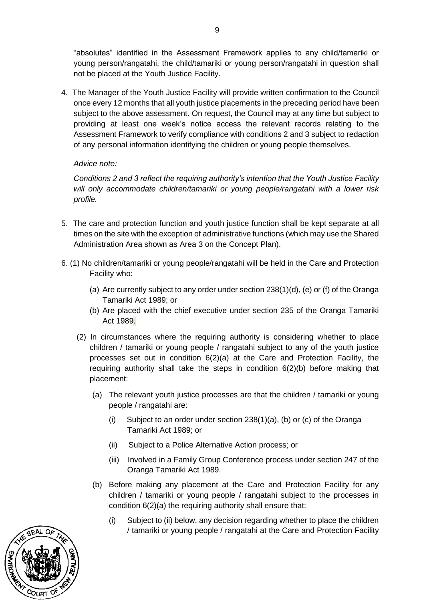"absolutes" identified in the Assessment Framework applies to any child/tamariki or young person/rangatahi, the child/tamariki or young person/rangatahi in question shall not be placed at the Youth Justice Facility.

4. The Manager of the Youth Justice Facility will provide written confirmation to the Council once every 12 months that all youth justice placements in the preceding period have been subject to the above assessment. On request, the Council may at any time but subject to providing at least one week's notice access the relevant records relating to the Assessment Framework to verify compliance with conditions 2 and 3 subject to redaction of any personal information identifying the children or young people themselves.

### *Advice note:*

*Conditions 2 and 3 reflect the requiring authority's intention that the Youth Justice Facility will only accommodate children/tamariki or young people/rangatahi with a lower risk profile.*

- 5. The care and protection function and youth justice function shall be kept separate at all times on the site with the exception of administrative functions (which may use the Shared Administration Area shown as Area 3 on the Concept Plan).
- 6. (1) No children/tamariki or young people/rangatahi will be held in the Care and Protection Facility who:
	- (a) Are currently subject to any order under section 238(1)(d), (e) or (f) of the Oranga Tamariki Act 1989; or
	- (b) Are placed with the chief executive under section 235 of the Oranga Tamariki Act 1989.
	- (2) In circumstances where the requiring authority is considering whether to place children / tamariki or young people / rangatahi subject to any of the youth justice processes set out in condition 6(2)(a) at the Care and Protection Facility, the requiring authority shall take the steps in condition 6(2)(b) before making that placement:
		- (a) The relevant youth justice processes are that the children / tamariki or young people / rangatahi are:
			- (i) Subject to an order under section 238(1)(a), (b) or (c) of the Oranga Tamariki Act 1989; or
			- (ii) Subject to a Police Alternative Action process; or
			- (iii) Involved in a Family Group Conference process under section 247 of the Oranga Tamariki Act 1989.
		- (b) Before making any placement at the Care and Protection Facility for any children / tamariki or young people / rangatahi subject to the processes in condition 6(2)(a) the requiring authority shall ensure that:
			- (i) Subject to (ii) below, any decision regarding whether to place the children / tamariki or young people / rangatahi at the Care and Protection Facility

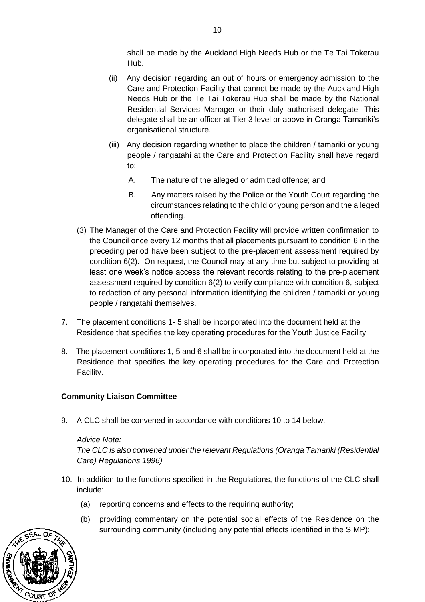shall be made by the Auckland High Needs Hub or the Te Tai Tokerau Hub.

- (ii) Any decision regarding an out of hours or emergency admission to the Care and Protection Facility that cannot be made by the Auckland High Needs Hub or the Te Tai Tokerau Hub shall be made by the National Residential Services Manager or their duly authorised delegate. This delegate shall be an officer at Tier 3 level or above in Oranga Tamariki's organisational structure.
- (iii) Any decision regarding whether to place the children / tamariki or young people / rangatahi at the Care and Protection Facility shall have regard to:
	- A. The nature of the alleged or admitted offence; and
	- B. Any matters raised by the Police or the Youth Court regarding the circumstances relating to the child or young person and the alleged offending.
- (3) The Manager of the Care and Protection Facility will provide written confirmation to the Council once every 12 months that all placements pursuant to condition 6 in the preceding period have been subject to the pre-placement assessment required by condition 6(2). On request, the Council may at any time but subject to providing at least one week's notice access the relevant records relating to the pre-placement assessment required by condition 6(2) to verify compliance with condition 6, subject to redaction of any personal information identifying the children / tamariki or young people / rangatahi themselves.
- 7. The placement conditions 1- 5 shall be incorporated into the document held at the Residence that specifies the key operating procedures for the Youth Justice Facility.
- 8. The placement conditions 1, 5 and 6 shall be incorporated into the document held at the Residence that specifies the key operating procedures for the Care and Protection Facility.

### **Community Liaison Committee**

9. A CLC shall be convened in accordance with conditions 10 to 14 below.

### *Advice Note:*

*The CLC is also convened under the relevant Regulations (Oranga Tamariki (Residential Care) Regulations 1996).*

- 10. In addition to the functions specified in the Regulations, the functions of the CLC shall include:
	- (a) reporting concerns and effects to the requiring authority;
	- (b) providing commentary on the potential social effects of the Residence on the surrounding community (including any potential effects identified in the SIMP);

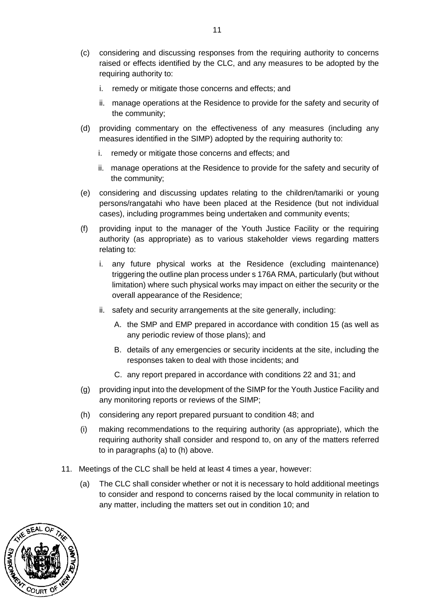- (c) considering and discussing responses from the requiring authority to concerns raised or effects identified by the CLC, and any measures to be adopted by the requiring authority to:
	- i. remedy or mitigate those concerns and effects; and
	- ii. manage operations at the Residence to provide for the safety and security of the community;
- (d) providing commentary on the effectiveness of any measures (including any measures identified in the SIMP) adopted by the requiring authority to:
	- i. remedy or mitigate those concerns and effects; and
	- ii. manage operations at the Residence to provide for the safety and security of the community;
- (e) considering and discussing updates relating to the children/tamariki or young persons/rangatahi who have been placed at the Residence (but not individual cases), including programmes being undertaken and community events;
- (f) providing input to the manager of the Youth Justice Facility or the requiring authority (as appropriate) as to various stakeholder views regarding matters relating to:
	- i. any future physical works at the Residence (excluding maintenance) triggering the outline plan process under s 176A RMA, particularly (but without limitation) where such physical works may impact on either the security or the overall appearance of the Residence;
	- ii. safety and security arrangements at the site generally, including:
		- A. the SMP and EMP prepared in accordance with condition 15 (as well as any periodic review of those plans); and
		- B. details of any emergencies or security incidents at the site, including the responses taken to deal with those incidents; and
		- C. any report prepared in accordance with conditions 22 and 31; and
- (g) providing input into the development of the SIMP for the Youth Justice Facility and any monitoring reports or reviews of the SIMP;
- (h) considering any report prepared pursuant to condition 48; and
- (i) making recommendations to the requiring authority (as appropriate), which the requiring authority shall consider and respond to, on any of the matters referred to in paragraphs (a) to (h) above.
- 11. Meetings of the CLC shall be held at least 4 times a year, however:
	- (a) The CLC shall consider whether or not it is necessary to hold additional meetings to consider and respond to concerns raised by the local community in relation to any matter, including the matters set out in condition 10; and

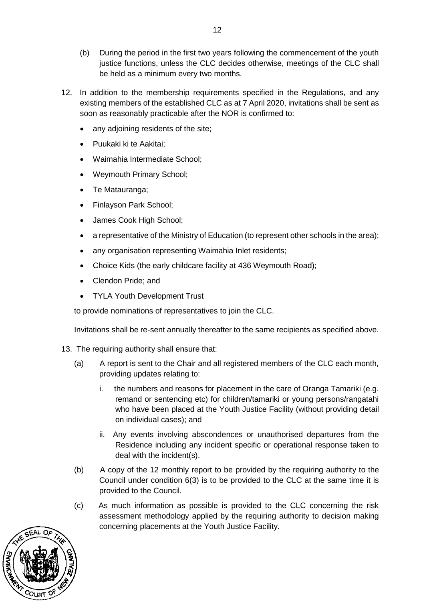- (b) During the period in the first two years following the commencement of the youth justice functions, unless the CLC decides otherwise, meetings of the CLC shall be held as a minimum every two months.
- 12. In addition to the membership requirements specified in the Regulations, and any existing members of the established CLC as at 7 April 2020, invitations shall be sent as soon as reasonably practicable after the NOR is confirmed to:
	- any adjoining residents of the site;
	- Puukaki ki te Aakitai;
	- Waimahia Intermediate School;
	- Weymouth Primary School;
	- Te Matauranga;
	- Finlayson Park School;
	- James Cook High School;
	- a representative of the Ministry of Education (to represent other schools in the area);
	- any organisation representing Waimahia Inlet residents;
	- Choice Kids (the early childcare facility at 436 Weymouth Road);
	- Clendon Pride; and
	- TYLA Youth Development Trust

to provide nominations of representatives to join the CLC.

Invitations shall be re-sent annually thereafter to the same recipients as specified above.

- 13. The requiring authority shall ensure that:
	- (a) A report is sent to the Chair and all registered members of the CLC each month, providing updates relating to:
		- i. the numbers and reasons for placement in the care of Oranga Tamariki (e.g. remand or sentencing etc) for children/tamariki or young persons/rangatahi who have been placed at the Youth Justice Facility (without providing detail on individual cases); and
		- ii. Any events involving abscondences or unauthorised departures from the Residence including any incident specific or operational response taken to deal with the incident(s).
	- (b) A copy of the 12 monthly report to be provided by the requiring authority to the Council under condition 6(3) is to be provided to the CLC at the same time it is provided to the Council.
	- (c) As much information as possible is provided to the CLC concerning the risk assessment methodology applied by the requiring authority to decision making concerning placements at the Youth Justice Facility.

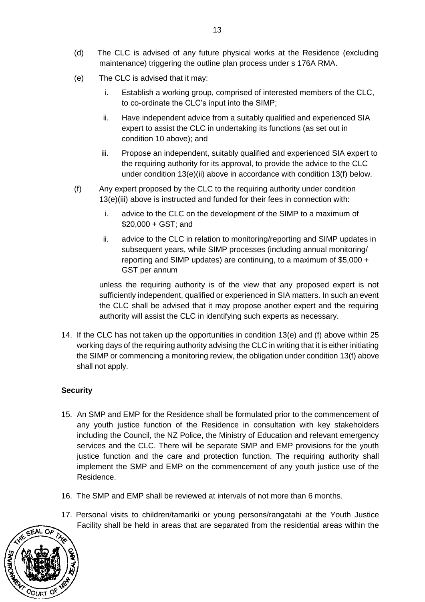- (d) The CLC is advised of any future physical works at the Residence (excluding maintenance) triggering the outline plan process under s 176A RMA.
- (e) The CLC is advised that it may:
	- i. Establish a working group, comprised of interested members of the CLC, to co-ordinate the CLC's input into the SIMP;
	- ii. Have independent advice from a suitably qualified and experienced SIA expert to assist the CLC in undertaking its functions (as set out in condition 10 above); and
	- iii. Propose an independent, suitably qualified and experienced SIA expert to the requiring authority for its approval, to provide the advice to the CLC under condition 13(e)(ii) above in accordance with condition 13(f) below.
- (f) Any expert proposed by the CLC to the requiring authority under condition 13(e)(iii) above is instructed and funded for their fees in connection with:
	- i. advice to the CLC on the development of the SIMP to a maximum of \$20,000 + GST; and
	- ii. advice to the CLC in relation to monitoring/reporting and SIMP updates in subsequent years, while SIMP processes (including annual monitoring/ reporting and SIMP updates) are continuing, to a maximum of \$5,000 + GST per annum

unless the requiring authority is of the view that any proposed expert is not sufficiently independent, qualified or experienced in SIA matters. In such an event the CLC shall be advised that it may propose another expert and the requiring authority will assist the CLC in identifying such experts as necessary.

14. If the CLC has not taken up the opportunities in condition 13(e) and (f) above within 25 working days of the requiring authority advising the CLC in writing that it is either initiating the SIMP or commencing a monitoring review, the obligation under condition 13(f) above shall not apply.

### **Security**

- 15. An SMP and EMP for the Residence shall be formulated prior to the commencement of any youth justice function of the Residence in consultation with key stakeholders including the Council, the NZ Police, the Ministry of Education and relevant emergency services and the CLC. There will be separate SMP and EMP provisions for the youth justice function and the care and protection function. The requiring authority shall implement the SMP and EMP on the commencement of any youth justice use of the Residence.
- 16. The SMP and EMP shall be reviewed at intervals of not more than 6 months.
- 17. Personal visits to children/tamariki or young persons/rangatahi at the Youth Justice Facility shall be held in areas that are separated from the residential areas within the

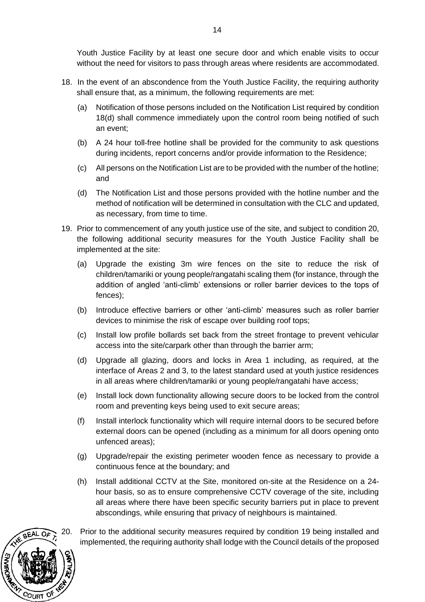Youth Justice Facility by at least one secure door and which enable visits to occur without the need for visitors to pass through areas where residents are accommodated.

- 18. In the event of an abscondence from the Youth Justice Facility, the requiring authority shall ensure that, as a minimum, the following requirements are met:
	- (a) Notification of those persons included on the Notification List required by condition 18(d) shall commence immediately upon the control room being notified of such an event;
	- (b) A 24 hour toll-free hotline shall be provided for the community to ask questions during incidents, report concerns and/or provide information to the Residence;
	- (c) All persons on the Notification List are to be provided with the number of the hotline; and
	- (d) The Notification List and those persons provided with the hotline number and the method of notification will be determined in consultation with the CLC and updated, as necessary, from time to time.
- 19. Prior to commencement of any youth justice use of the site, and subject to condition 20, the following additional security measures for the Youth Justice Facility shall be implemented at the site:
	- (a) Upgrade the existing 3m wire fences on the site to reduce the risk of children/tamariki or young people/rangatahi scaling them (for instance, through the addition of angled 'anti-climb' extensions or roller barrier devices to the tops of fences);
	- (b) Introduce effective barriers or other 'anti-climb' measures such as roller barrier devices to minimise the risk of escape over building roof tops;
	- (c) Install low profile bollards set back from the street frontage to prevent vehicular access into the site/carpark other than through the barrier arm;
	- (d) Upgrade all glazing, doors and locks in Area 1 including, as required, at the interface of Areas 2 and 3, to the latest standard used at youth justice residences in all areas where children/tamariki or young people/rangatahi have access;
	- (e) Install lock down functionality allowing secure doors to be locked from the control room and preventing keys being used to exit secure areas;
	- (f) Install interlock functionality which will require internal doors to be secured before external doors can be opened (including as a minimum for all doors opening onto unfenced areas);
	- (g) Upgrade/repair the existing perimeter wooden fence as necessary to provide a continuous fence at the boundary; and
	- (h) Install additional CCTV at the Site, monitored on-site at the Residence on a 24 hour basis, so as to ensure comprehensive CCTV coverage of the site, including all areas where there have been specific security barriers put in place to prevent abscondings, while ensuring that privacy of neighbours is maintained.



20. Prior to the additional security measures required by condition 19 being installed and implemented, the requiring authority shall lodge with the Council details of the proposed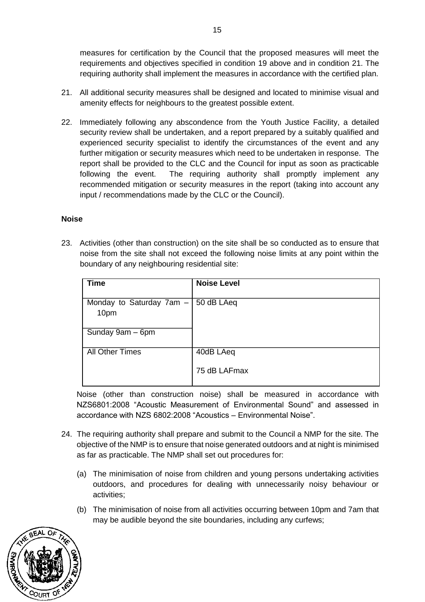measures for certification by the Council that the proposed measures will meet the requirements and objectives specified in condition 19 above and in condition 21. The requiring authority shall implement the measures in accordance with the certified plan.

- 21. All additional security measures shall be designed and located to minimise visual and amenity effects for neighbours to the greatest possible extent.
- 22. Immediately following any abscondence from the Youth Justice Facility, a detailed security review shall be undertaken, and a report prepared by a suitably qualified and experienced security specialist to identify the circumstances of the event and any further mitigation or security measures which need to be undertaken in response. The report shall be provided to the CLC and the Council for input as soon as practicable following the event. The requiring authority shall promptly implement any recommended mitigation or security measures in the report (taking into account any input / recommendations made by the CLC or the Council).

#### **Noise**

23. Activities (other than construction) on the site shall be so conducted as to ensure that noise from the site shall not exceed the following noise limits at any point within the boundary of any neighbouring residential site:

| <b>Time</b>                | <b>Noise Level</b> |
|----------------------------|--------------------|
|                            |                    |
| Monday to Saturday $7am -$ | 50 dB LAeq         |
| 10pm                       |                    |
|                            |                    |
| Sunday 9am - 6pm           |                    |
|                            |                    |
| <b>All Other Times</b>     | 40dB LAeq          |
|                            |                    |
|                            | 75 dB LAFmax       |
|                            |                    |

 Noise (other than construction noise) shall be measured in accordance with NZS6801:2008 "Acoustic Measurement of Environmental Sound" and assessed in accordance with NZS 6802:2008 "Acoustics – Environmental Noise".

- 24. The requiring authority shall prepare and submit to the Council a NMP for the site. The objective of the NMP is to ensure that noise generated outdoors and at night is minimised as far as practicable. The NMP shall set out procedures for:
	- (a) The minimisation of noise from children and young persons undertaking activities outdoors, and procedures for dealing with unnecessarily noisy behaviour or activities;
	- (b) The minimisation of noise from all activities occurring between 10pm and 7am that may be audible beyond the site boundaries, including any curfews;

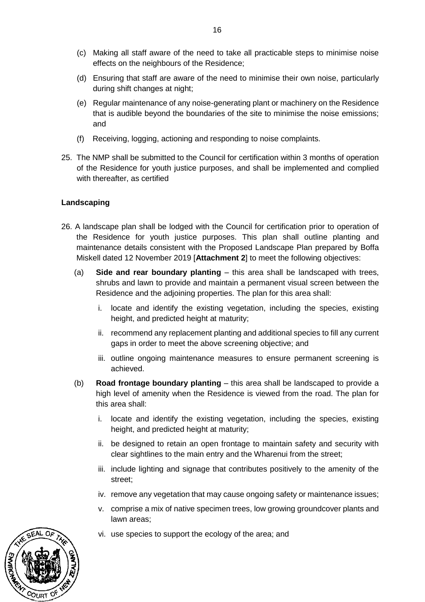- (c) Making all staff aware of the need to take all practicable steps to minimise noise effects on the neighbours of the Residence;
- (d) Ensuring that staff are aware of the need to minimise their own noise, particularly during shift changes at night;
- (e) Regular maintenance of any noise-generating plant or machinery on the Residence that is audible beyond the boundaries of the site to minimise the noise emissions; and
- (f) Receiving, logging, actioning and responding to noise complaints.
- 25. The NMP shall be submitted to the Council for certification within 3 months of operation of the Residence for youth justice purposes, and shall be implemented and complied with thereafter, as certified

### **Landscaping**

- 26. A landscape plan shall be lodged with the Council for certification prior to operation of the Residence for youth justice purposes. This plan shall outline planting and maintenance details consistent with the Proposed Landscape Plan prepared by Boffa Miskell dated 12 November 2019 [**Attachment 2**] to meet the following objectives:
	- (a) **Side and rear boundary planting** this area shall be landscaped with trees, shrubs and lawn to provide and maintain a permanent visual screen between the Residence and the adjoining properties. The plan for this area shall:
		- i. locate and identify the existing vegetation, including the species, existing height, and predicted height at maturity;
		- ii. recommend any replacement planting and additional species to fill any current gaps in order to meet the above screening objective; and
		- iii. outline ongoing maintenance measures to ensure permanent screening is achieved.
	- (b) **Road frontage boundary planting**  this area shall be landscaped to provide a high level of amenity when the Residence is viewed from the road. The plan for this area shall:
		- i. locate and identify the existing vegetation, including the species, existing height, and predicted height at maturity;
		- ii. be designed to retain an open frontage to maintain safety and security with clear sightlines to the main entry and the Wharenui from the street;
		- iii. include lighting and signage that contributes positively to the amenity of the street;
		- iv. remove any vegetation that may cause ongoing safety or maintenance issues;
		- v. comprise a mix of native specimen trees, low growing groundcover plants and lawn areas;
		- vi. use species to support the ecology of the area; and

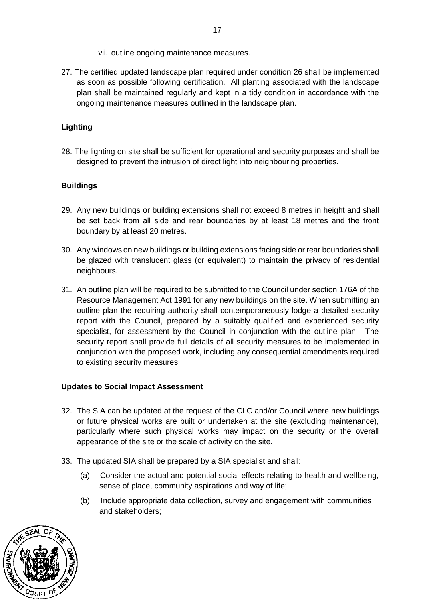- vii. outline ongoing maintenance measures.
- 27. The certified updated landscape plan required under condition 26 shall be implemented as soon as possible following certification. All planting associated with the landscape plan shall be maintained regularly and kept in a tidy condition in accordance with the ongoing maintenance measures outlined in the landscape plan.

# **Lighting**

28. The lighting on site shall be sufficient for operational and security purposes and shall be designed to prevent the intrusion of direct light into neighbouring properties.

## **Buildings**

- 29. Any new buildings or building extensions shall not exceed 8 metres in height and shall be set back from all side and rear boundaries by at least 18 metres and the front boundary by at least 20 metres.
- 30. Any windows on new buildings or building extensions facing side or rear boundaries shall be glazed with translucent glass (or equivalent) to maintain the privacy of residential neighbours.
- 31. An outline plan will be required to be submitted to the Council under section 176A of the Resource Management Act 1991 for any new buildings on the site. When submitting an outline plan the requiring authority shall contemporaneously lodge a detailed security report with the Council, prepared by a suitably qualified and experienced security specialist, for assessment by the Council in conjunction with the outline plan. The security report shall provide full details of all security measures to be implemented in conjunction with the proposed work, including any consequential amendments required to existing security measures.

### **Updates to Social Impact Assessment**

- 32. The SIA can be updated at the request of the CLC and/or Council where new buildings or future physical works are built or undertaken at the site (excluding maintenance), particularly where such physical works may impact on the security or the overall appearance of the site or the scale of activity on the site.
- 33. The updated SIA shall be prepared by a SIA specialist and shall:
	- (a) Consider the actual and potential social effects relating to health and wellbeing, sense of place, community aspirations and way of life;
	- (b) Include appropriate data collection, survey and engagement with communities and stakeholders;

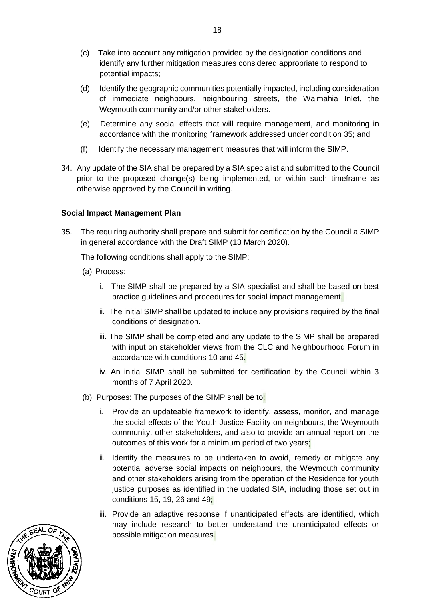- (c) Take into account any mitigation provided by the designation conditions and identify any further mitigation measures considered appropriate to respond to potential impacts;
- (d) Identify the geographic communities potentially impacted, including consideration of immediate neighbours, neighbouring streets, the Waimahia Inlet, the Weymouth community and/or other stakeholders.
- (e) Determine any social effects that will require management, and monitoring in accordance with the monitoring framework addressed under condition 35; and
- (f) Identify the necessary management measures that will inform the SIMP.
- 34. Any update of the SIA shall be prepared by a SIA specialist and submitted to the Council prior to the proposed change(s) being implemented, or within such timeframe as otherwise approved by the Council in writing.

### **Social Impact Management Plan**

35. The requiring authority shall prepare and submit for certification by the Council a SIMP in general accordance with the Draft SIMP (13 March 2020).

The following conditions shall apply to the SIMP:

- (a) Process:
	- i. The SIMP shall be prepared by a SIA specialist and shall be based on best practice guidelines and procedures for social impact management.
	- ii. The initial SIMP shall be updated to include any provisions required by the final conditions of designation.
	- iii. The SIMP shall be completed and any update to the SIMP shall be prepared with input on stakeholder views from the CLC and Neighbourhood Forum in accordance with conditions 10 and 45.
	- iv. An initial SIMP shall be submitted for certification by the Council within 3 months of 7 April 2020.
- (b) Purposes: The purposes of the SIMP shall be to:
	- i. Provide an updateable framework to identify, assess, monitor, and manage the social effects of the Youth Justice Facility on neighbours, the Weymouth community, other stakeholders, and also to provide an annual report on the outcomes of this work for a minimum period of two years;
	- ii. Identify the measures to be undertaken to avoid, remedy or mitigate any potential adverse social impacts on neighbours, the Weymouth community and other stakeholders arising from the operation of the Residence for youth justice purposes as identified in the updated SIA, including those set out in conditions 15, 19, 26 and 49;
	- iii. Provide an adaptive response if unanticipated effects are identified, which may include research to better understand the unanticipated effects or possible mitigation measures.

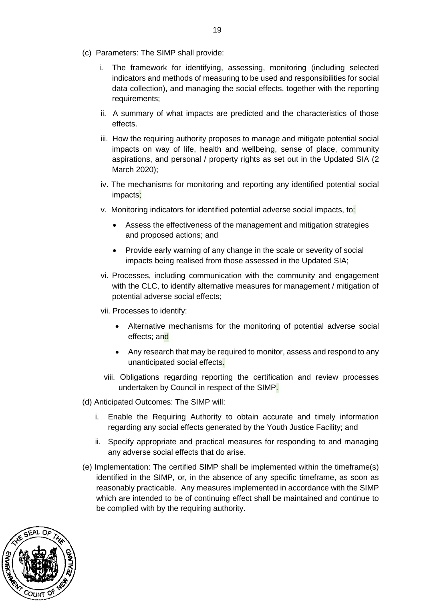- (c) Parameters: The SIMP shall provide:
	- i. The framework for identifying, assessing, monitoring (including selected indicators and methods of measuring to be used and responsibilities for social data collection), and managing the social effects, together with the reporting requirements;
	- ii. A summary of what impacts are predicted and the characteristics of those effects.
	- iii. How the requiring authority proposes to manage and mitigate potential social impacts on way of life, health and wellbeing, sense of place, community aspirations, and personal / property rights as set out in the Updated SIA (2 March 2020);
	- iv. The mechanisms for monitoring and reporting any identified potential social impacts;
	- v. Monitoring indicators for identified potential adverse social impacts, to:
		- Assess the effectiveness of the management and mitigation strategies and proposed actions; and
		- Provide early warning of any change in the scale or severity of social impacts being realised from those assessed in the Updated SIA;
	- vi. Processes, including communication with the community and engagement with the CLC, to identify alternative measures for management / mitigation of potential adverse social effects;
	- vii. Processes to identify:
		- Alternative mechanisms for the monitoring of potential adverse social effects; and
		- Any research that may be required to monitor, assess and respond to any unanticipated social effects.
	- viii. Obligations regarding reporting the certification and review processes undertaken by Council in respect of the SIMP.

(d) Anticipated Outcomes: The SIMP will:

- i. Enable the Requiring Authority to obtain accurate and timely information regarding any social effects generated by the Youth Justice Facility; and
- ii. Specify appropriate and practical measures for responding to and managing any adverse social effects that do arise.
- (e) Implementation: The certified SIMP shall be implemented within the timeframe(s) identified in the SIMP, or, in the absence of any specific timeframe, as soon as reasonably practicable. Any measures implemented in accordance with the SIMP which are intended to be of continuing effect shall be maintained and continue to be complied with by the requiring authority.

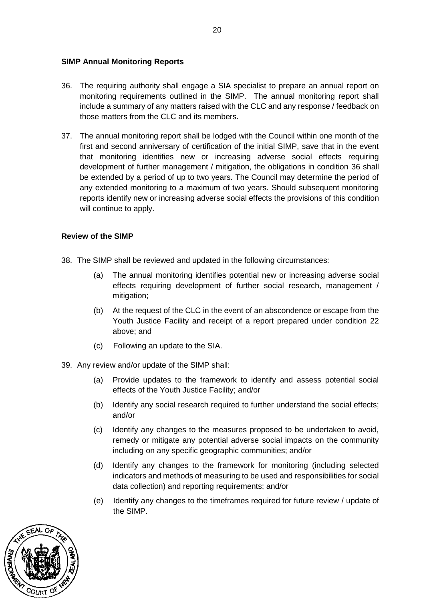#### **SIMP Annual Monitoring Reports**

- 36. The requiring authority shall engage a SIA specialist to prepare an annual report on monitoring requirements outlined in the SIMP. The annual monitoring report shall include a summary of any matters raised with the CLC and any response / feedback on those matters from the CLC and its members.
- 37. The annual monitoring report shall be lodged with the Council within one month of the first and second anniversary of certification of the initial SIMP, save that in the event that monitoring identifies new or increasing adverse social effects requiring development of further management / mitigation, the obligations in condition 36 shall be extended by a period of up to two years. The Council may determine the period of any extended monitoring to a maximum of two years. Should subsequent monitoring reports identify new or increasing adverse social effects the provisions of this condition will continue to apply.

#### **Review of the SIMP**

- 38. The SIMP shall be reviewed and updated in the following circumstances:
	- (a) The annual monitoring identifies potential new or increasing adverse social effects requiring development of further social research, management / mitigation;
	- (b) At the request of the CLC in the event of an abscondence or escape from the Youth Justice Facility and receipt of a report prepared under condition 22 above; and
	- (c) Following an update to the SIA.
- 39. Any review and/or update of the SIMP shall:
	- (a) Provide updates to the framework to identify and assess potential social effects of the Youth Justice Facility; and/or
	- (b) Identify any social research required to further understand the social effects; and/or
	- (c) Identify any changes to the measures proposed to be undertaken to avoid, remedy or mitigate any potential adverse social impacts on the community including on any specific geographic communities; and/or
	- (d) Identify any changes to the framework for monitoring (including selected indicators and methods of measuring to be used and responsibilities for social data collection) and reporting requirements; and/or
	- (e) Identify any changes to the timeframes required for future review / update of the SIMP.

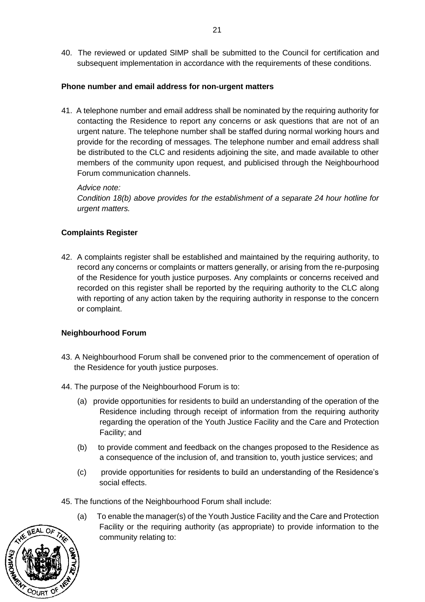40. The reviewed or updated SIMP shall be submitted to the Council for certification and subsequent implementation in accordance with the requirements of these conditions.

### **Phone number and email address for non-urgent matters**

41. A telephone number and email address shall be nominated by the requiring authority for contacting the Residence to report any concerns or ask questions that are not of an urgent nature. The telephone number shall be staffed during normal working hours and provide for the recording of messages. The telephone number and email address shall be distributed to the CLC and residents adjoining the site, and made available to other members of the community upon request, and publicised through the Neighbourhood Forum communication channels.

*Advice note: Condition 18(b) above provides for the establishment of a separate 24 hour hotline for urgent matters.*

# **Complaints Register**

42. A complaints register shall be established and maintained by the requiring authority, to record any concerns or complaints or matters generally, or arising from the re-purposing of the Residence for youth justice purposes. Any complaints or concerns received and recorded on this register shall be reported by the requiring authority to the CLC along with reporting of any action taken by the requiring authority in response to the concern or complaint.

### **Neighbourhood Forum**

- 43. A Neighbourhood Forum shall be convened prior to the commencement of operation of the Residence for youth justice purposes.
- 44. The purpose of the Neighbourhood Forum is to:
	- (a) provide opportunities for residents to build an understanding of the operation of the Residence including through receipt of information from the requiring authority regarding the operation of the Youth Justice Facility and the Care and Protection Facility; and
	- (b) to provide comment and feedback on the changes proposed to the Residence as a consequence of the inclusion of, and transition to, youth justice services; and
	- (c) provide opportunities for residents to build an understanding of the Residence's social effects.
- 45. The functions of the Neighbourhood Forum shall include:
	- (a) To enable the manager(s) of the Youth Justice Facility and the Care and Protection Facility or the requiring authority (as appropriate) to provide information to the community relating to:

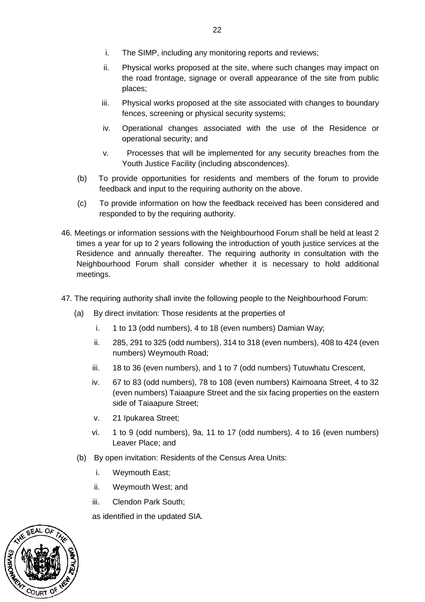- i. The SIMP, including any monitoring reports and reviews;
- ii. Physical works proposed at the site, where such changes may impact on the road frontage, signage or overall appearance of the site from public places;
- iii. Physical works proposed at the site associated with changes to boundary fences, screening or physical security systems;
- iv. Operational changes associated with the use of the Residence or operational security; and
- v. Processes that will be implemented for any security breaches from the Youth Justice Facility (including abscondences).
- (b) To provide opportunities for residents and members of the forum to provide feedback and input to the requiring authority on the above.
- (c) To provide information on how the feedback received has been considered and responded to by the requiring authority.
- 46. Meetings or information sessions with the Neighbourhood Forum shall be held at least 2 times a year for up to 2 years following the introduction of youth justice services at the Residence and annually thereafter. The requiring authority in consultation with the Neighbourhood Forum shall consider whether it is necessary to hold additional meetings.
- 47. The requiring authority shall invite the following people to the Neighbourhood Forum:
	- (a) By direct invitation: Those residents at the properties of
		- i. 1 to 13 (odd numbers), 4 to 18 (even numbers) Damian Way;
		- ii. 285, 291 to 325 (odd numbers), 314 to 318 (even numbers), 408 to 424 (even numbers) Weymouth Road;
		- iii. 18 to 36 (even numbers), and 1 to 7 (odd numbers) Tutuwhatu Crescent,
		- iv. 67 to 83 (odd numbers), 78 to 108 (even numbers) Kaimoana Street, 4 to 32 (even numbers) Taiaapure Street and the six facing properties on the eastern side of Taiaapure Street;
		- v. 21 Ipukarea Street;
		- vi. 1 to 9 (odd numbers), 9a, 11 to 17 (odd numbers), 4 to 16 (even numbers) Leaver Place; and
	- (b) By open invitation: Residents of the Census Area Units:
		- i. Weymouth East;
		- ii. Weymouth West; and
		- iii. Clendon Park South;

as identified in the updated SIA*.* 

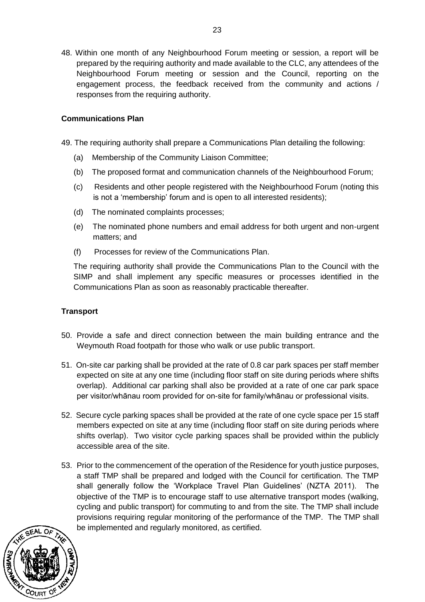48. Within one month of any Neighbourhood Forum meeting or session, a report will be prepared by the requiring authority and made available to the CLC, any attendees of the Neighbourhood Forum meeting or session and the Council, reporting on the engagement process, the feedback received from the community and actions / responses from the requiring authority.

#### **Communications Plan**

49. The requiring authority shall prepare a Communications Plan detailing the following:

- (a) Membership of the Community Liaison Committee;
- (b) The proposed format and communication channels of the Neighbourhood Forum;
- (c) Residents and other people registered with the Neighbourhood Forum (noting this is not a 'membership' forum and is open to all interested residents);
- (d) The nominated complaints processes;
- (e) The nominated phone numbers and email address for both urgent and non-urgent matters; and
- (f) Processes for review of the Communications Plan.

The requiring authority shall provide the Communications Plan to the Council with the SIMP and shall implement any specific measures or processes identified in the Communications Plan as soon as reasonably practicable thereafter.

### **Transport**

- 50. Provide a safe and direct connection between the main building entrance and the Weymouth Road footpath for those who walk or use public transport.
- 51. On-site car parking shall be provided at the rate of 0.8 car park spaces per staff member expected on site at any one time (including floor staff on site during periods where shifts overlap). Additional car parking shall also be provided at a rate of one car park space per visitor/whānau room provided for on-site for family/whānau or professional visits.
- 52. Secure cycle parking spaces shall be provided at the rate of one cycle space per 15 staff members expected on site at any time (including floor staff on site during periods where shifts overlap). Two visitor cycle parking spaces shall be provided within the publicly accessible area of the site.
- 53. Prior to the commencement of the operation of the Residence for youth justice purposes, a staff TMP shall be prepared and lodged with the Council for certification. The TMP shall generally follow the 'Workplace Travel Plan Guidelines' (NZTA 2011). The objective of the TMP is to encourage staff to use alternative transport modes (walking, cycling and public transport) for commuting to and from the site. The TMP shall include provisions requiring regular monitoring of the performance of the TMP. The TMP shall be implemented and regularly monitored, as certified.

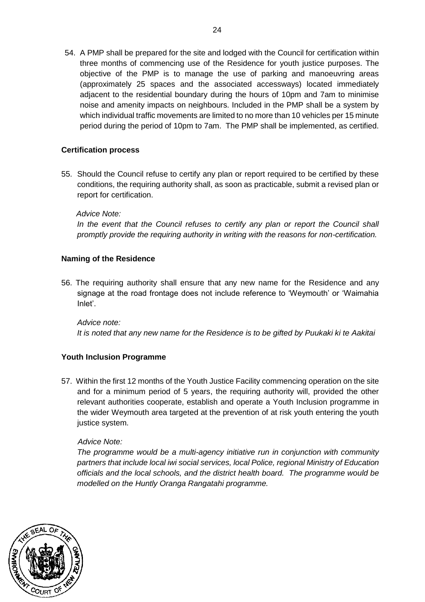54. A PMP shall be prepared for the site and lodged with the Council for certification within three months of commencing use of the Residence for youth justice purposes. The objective of the PMP is to manage the use of parking and manoeuvring areas (approximately 25 spaces and the associated accessways) located immediately adjacent to the residential boundary during the hours of 10pm and 7am to minimise noise and amenity impacts on neighbours. Included in the PMP shall be a system by which individual traffic movements are limited to no more than 10 vehicles per 15 minute period during the period of 10pm to 7am. The PMP shall be implemented, as certified.

### **Certification process**

55. Should the Council refuse to certify any plan or report required to be certified by these conditions, the requiring authority shall, as soon as practicable, submit a revised plan or report for certification.

### *Advice Note:*

*In the event that the Council refuses to certify any plan or report the Council shall promptly provide the requiring authority in writing with the reasons for non-certification.*

### **Naming of the Residence**

56. The requiring authority shall ensure that any new name for the Residence and any signage at the road frontage does not include reference to 'Weymouth' or 'Waimahia Inlet'.

*Advice note: It is noted that any new name for the Residence is to be gifted by Puukaki ki te Aakitai*

### **Youth Inclusion Programme**

57. Within the first 12 months of the Youth Justice Facility commencing operation on the site and for a minimum period of 5 years, the requiring authority will, provided the other relevant authorities cooperate, establish and operate a Youth Inclusion programme in the wider Weymouth area targeted at the prevention of at risk youth entering the youth justice system.

#### *Advice Note:*

*The programme would be a multi-agency initiative run in conjunction with community partners that include local iwi social services, local Police, regional Ministry of Education officials and the local schools, and the district health board. The programme would be modelled on the Huntly Oranga Rangatahi programme.*

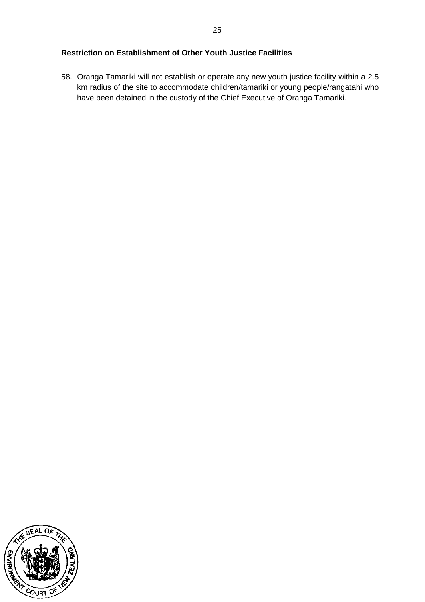58. Oranga Tamariki will not establish or operate any new youth justice facility within a 2.5 km radius of the site to accommodate children/tamariki or young people/rangatahi who have been detained in the custody of the Chief Executive of Oranga Tamariki.

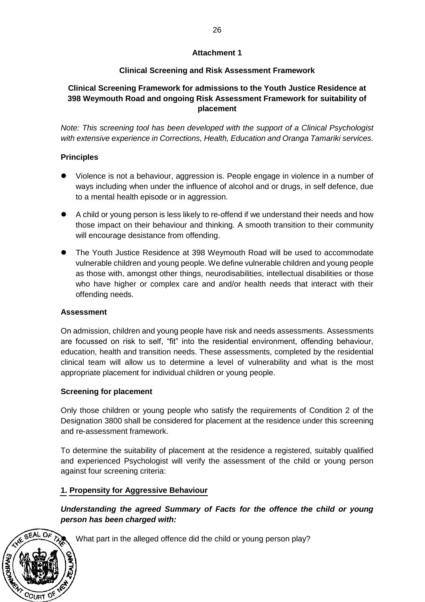### **Attachment 1**

# **Clinical Screening and Risk Assessment Framework**

# **Clinical Screening Framework for admissions to the Youth Justice Residence at 398 Weymouth Road and ongoing Risk Assessment Framework for suitability of placement**

*Note: This screening tool has been developed with the support of a Clinical Psychologist with extensive experience in Corrections, Health, Education and Oranga Tamariki services.*

## **Principles**

- ⚫ Violence is not a behaviour, aggression is. People engage in violence in a number of ways including when under the influence of alcohol and or drugs, in self defence, due to a mental health episode or in aggression.
- A child or young person is less likely to re-offend if we understand their needs and how those impact on their behaviour and thinking. A smooth transition to their community will encourage desistance from offending.
- ⚫ The Youth Justice Residence at 398 Weymouth Road will be used to accommodate vulnerable children and young people. We define vulnerable children and young people as those with, amongst other things, neurodisabilities, intellectual disabilities or those who have higher or complex care and and/or health needs that interact with their offending needs.

### **Assessment**

COURT OF

On admission, children and young people have risk and needs assessments. Assessments are focussed on risk to self, "fit" into the residential environment, offending behaviour, education, health and transition needs. These assessments, completed by the residential clinical team will allow us to determine a level of vulnerability and what is the most appropriate placement for individual children or young people.

### **Screening for placement**

Only those children or young people who satisfy the requirements of Condition 2 of the Designation 3800 shall be considered for placement at the residence under this screening and re-assessment framework.

To determine the suitability of placement at the residence a registered, suitably qualified and experienced Psychologist will verify the assessment of the child or young person against four screening criteria:

### **1. Propensity for Aggressive Behaviour**

*Understanding the agreed Summary of Facts for the offence the child or young person has been charged with:*

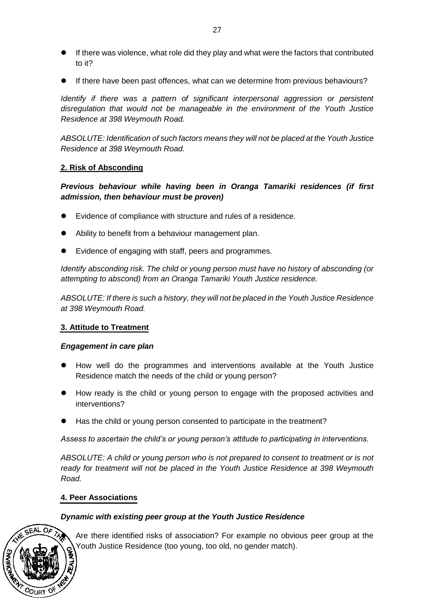- ⚫ If there was violence, what role did they play and what were the factors that contributed to it?
- ⚫ If there have been past offences, what can we determine from previous behaviours?

*Identify if there was a pattern of significant interpersonal aggression or persistent disregulation that would not be manageable in the environment of the Youth Justice Residence at 398 Weymouth Road.* 

*ABSOLUTE: Identification of such factors means they will not be placed at the Youth Justice Residence at 398 Weymouth Road.*

#### **2. Risk of Absconding**

*Previous behaviour while having been in Oranga Tamariki residences (if first admission, then behaviour must be proven)*

- ⚫ Evidence of compliance with structure and rules of a residence.
- Ability to benefit from a behaviour management plan.
- ⚫ Evidence of engaging with staff, peers and programmes.

*Identify absconding risk. The child or young person must have no history of absconding (or attempting to abscond) from an Oranga Tamariki Youth Justice residence.* 

*ABSOLUTE: If there is such a history, they will not be placed in the Youth Justice Residence at 398 Weymouth Road.*

#### **3. Attitude to Treatment**

#### *Engagement in care plan*

- ⚫ How well do the programmes and interventions available at the Youth Justice Residence match the needs of the child or young person?
- How ready is the child or young person to engage with the proposed activities and interventions?
- Has the child or young person consented to participate in the treatment?

*Assess to ascertain the child's or young person's attitude to participating in interventions.* 

*ABSOLUTE: A child or young person who is not prepared to consent to treatment or is not ready for treatment will not be placed in the Youth Justice Residence at 398 Weymouth Road.*

#### **4. Peer Associations**

### *Dynamic with existing peer group at the Youth Justice Residence*



⚫ Are there identified risks of association? For example no obvious peer group at the Youth Justice Residence (too young, too old, no gender match).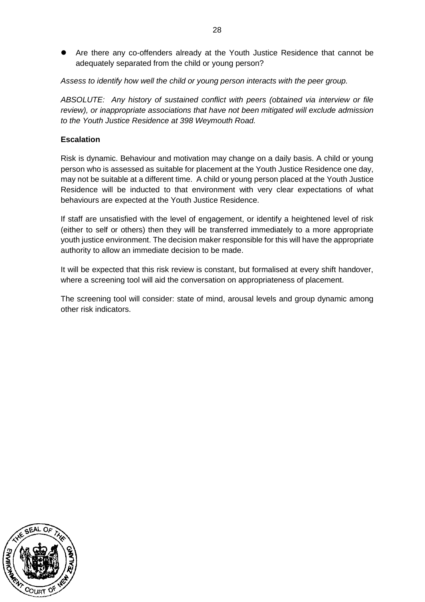⚫ Are there any co-offenders already at the Youth Justice Residence that cannot be adequately separated from the child or young person?

*Assess to identify how well the child or young person interacts with the peer group.* 

*ABSOLUTE: Any history of sustained conflict with peers (obtained via interview or file review), or inappropriate associations that have not been mitigated will exclude admission to the Youth Justice Residence at 398 Weymouth Road.*

### **Escalation**

Risk is dynamic. Behaviour and motivation may change on a daily basis. A child or young person who is assessed as suitable for placement at the Youth Justice Residence one day, may not be suitable at a different time. A child or young person placed at the Youth Justice Residence will be inducted to that environment with very clear expectations of what behaviours are expected at the Youth Justice Residence.

If staff are unsatisfied with the level of engagement, or identify a heightened level of risk (either to self or others) then they will be transferred immediately to a more appropriate youth justice environment. The decision maker responsible for this will have the appropriate authority to allow an immediate decision to be made.

It will be expected that this risk review is constant, but formalised at every shift handover, where a screening tool will aid the conversation on appropriateness of placement.

The screening tool will consider: state of mind, arousal levels and group dynamic among other risk indicators.

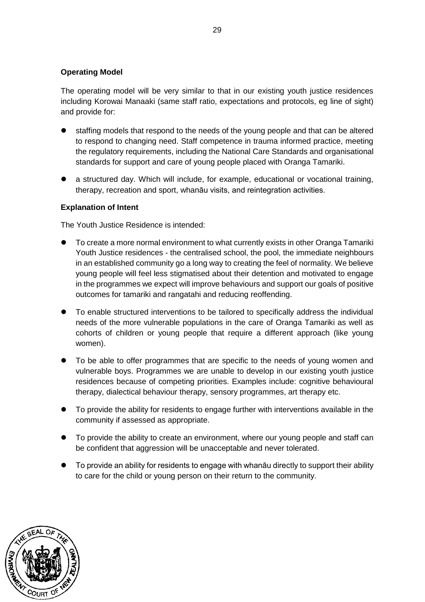#### **Operating Model**

The operating model will be very similar to that in our existing youth justice residences including Korowai Manaaki (same staff ratio, expectations and protocols, eg line of sight) and provide for:

- ⚫ staffing models that respond to the needs of the young people and that can be altered to respond to changing need. Staff competence in trauma informed practice, meeting the regulatory requirements, including the National Care Standards and organisational standards for support and care of young people placed with Oranga Tamariki.
- a structured day. Which will include, for example, educational or vocational training, therapy, recreation and sport, whanāu visits, and reintegration activities.

#### **Explanation of Intent**

The Youth Justice Residence is intended:

- ⚫ To create a more normal environment to what currently exists in other Oranga Tamariki Youth Justice residences - the centralised school, the pool, the immediate neighbours in an established community go a long way to creating the feel of normality. We believe young people will feel less stigmatised about their detention and motivated to engage in the programmes we expect will improve behaviours and support our goals of positive outcomes for tamariki and rangatahi and reducing reoffending.
- ⚫ To enable structured interventions to be tailored to specifically address the individual needs of the more vulnerable populations in the care of Oranga Tamariki as well as cohorts of children or young people that require a different approach (like young women).
- ⚫ To be able to offer programmes that are specific to the needs of young women and vulnerable boys. Programmes we are unable to develop in our existing youth justice residences because of competing priorities. Examples include: cognitive behavioural therapy, dialectical behaviour therapy, sensory programmes, art therapy etc.
- ⚫ To provide the ability for residents to engage further with interventions available in the community if assessed as appropriate.
- ⚫ To provide the ability to create an environment, where our young people and staff can be confident that aggression will be unacceptable and never tolerated.
- ⚫ To provide an ability for residents to engage with whanāu directly to support their ability to care for the child or young person on their return to the community.

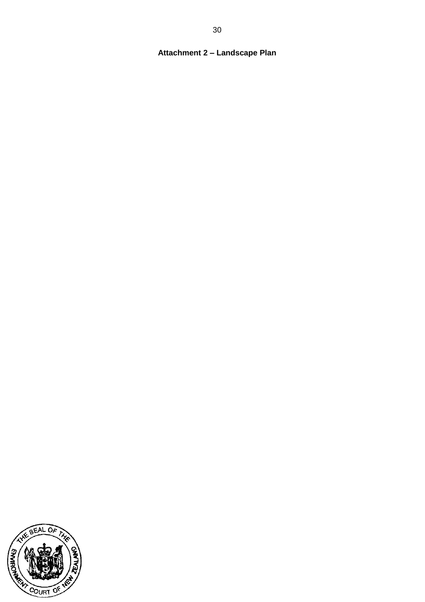# **Attachment 2 – Landscape Plan**

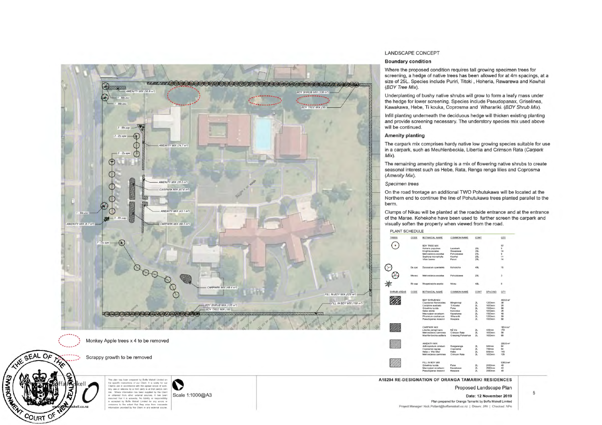

- Chemical and the model of the model of the model of the model of the model of the model of the model of the model of the model of the model of the model of the model of the model of the model of the model of the model of

cell

cell.co.nz

**SHARROOM** 

COURT OF

Scale 1:1000@A3

#### LANDSCAPE CONCEPT

#### Boundary co ndition

Where the proposed condition requires tall growing specimen trees for screen ing, a hedge of native trees has been allowed for at 4m spac ings, at a size of 25L. Species include P uriri, Titoki , Hoheria, Rewarewa and Kowhai (BOY Tree Mix).

Underplanting of bushy native shrubs will grow to fo rm a leafy mass under the hedge for lower screen ing. Spec ies include Pseudopanax, Gr iseli nea, Kawakawa, Hebe, Ti kouka, Copros ma and Whara riki. (BOY Shrub *Mix).* 

Infill planting underneath the deciduous hedge will thicken existing planting and provide screening necessary. The understory species mix used above will be continued.

#### **Amenity planting**

The carpark mix comprises hardy native low growing species suitable for use in a carpark, such as Meuhlenbeckia, Libertia and Crimson Rata (Carpark *Mix).* 

The remaining amenity planting is a mix of flowering native shrubs to create seasonal interest such as Hebe, Rata, Renga renga lilies and Coprosma (Amen ity *Mix ).* 

#### Spec imen trees

On the road frontage an additional TWO Pohutukawa will be located at the Northern end to continue the line of Pohutukawa trees planted parallel to the

berm.<br>Clumps of Nikau will be planted at the roadside entrance and at the entrance of the Marae. Kohekohe have been used to further screen the carpark and

| PLANT SCHEDULE |  |
|----------------|--|
|                |  |

| <b>TREES</b>       | CODE   | BOTANICAL NAME                                   | <b>COMMON NAME</b>                | CONT                  |                  | QTY                    |
|--------------------|--------|--------------------------------------------------|-----------------------------------|-----------------------|------------------|------------------------|
|                    |        | <b>BOY TREE MIX</b>                              |                                   |                       |                  | 57                     |
|                    |        | Hoherla populnea                                 | Liscobark                         | 251.                  |                  | <b>D</b>               |
|                    |        | Knightie excelse                                 | Rewarewa                          | 25L                   |                  | 14                     |
|                    |        | Metrosideros excelsa                             | Pohutukawa                        | 251                   |                  | ø                      |
|                    |        | Sophora microphylla                              | Kowhai                            | 25L                   |                  | 11                     |
|                    |        | Vilex jucens                                     | Pururi                            | 25L                   |                  | 14                     |
|                    | Dy spe | Dysoxylum spectabile                             | Kohekohe                          | 45L                   |                  | 15                     |
|                    | Мо ехс | Metrosideros excelse                             | Pohulukawa                        | 25L                   |                  | a.                     |
|                    | Rh.sap | Rhopalostylls sepida                             | Nikau                             | 451                   |                  | ß                      |
|                    |        |                                                  |                                   |                       |                  |                        |
| <b>SHRUB AREAS</b> | CODE   | BOTANICAL NAME                                   | <b>COMMON NAME</b>                | CONT                  | SPACING          | QTY                    |
|                    |        | BDY SHRUB MIX                                    |                                   |                       |                  | 493.9 m <sup>1</sup>   |
|                    |        | Coprosma rhamnoides                              | Mingimingi                        | $\mathbf{z}$          | 1200mm           | 20                     |
|                    |        | Cordyline australis                              | Ti Kouks                          | 21.                   | 1000mm           | 26                     |
|                    |        | Griselinia lucida                                | Puka                              | 2L                    | 1500mm           | 58                     |
|                    |        | Hebe stricts                                     | Koromiko                          | 2L                    | 1000mm           | 28                     |
|                    |        | Macropper excelsum                               | Kawakewa                          | 21.                   | 1500mm           | 46                     |
|                    |        | Phormium cookianum<br>Pseudopanax lessonii       | Wharariki<br>Houpera              | 21.<br>21.            | 1200mm<br>1500mm | 30<br>58               |
|                    |        |                                                  |                                   |                       |                  |                        |
|                    |        | <b>CARPARK MIX</b>                               |                                   |                       |                  | $103.4 \text{ m}^2$    |
|                    |        | Libertia peregrinans                             | NZ kla                            | 21.                   | 400mm<br>1000mm  | 179<br>58              |
|                    |        | Metrosidoros carminoa<br>Mushlenbeckia axillaris | Crimson Rata<br>Creaging Pohuehua | $\mathfrak{A}$<br>ZL. | 1000mm           | 65                     |
|                    |        |                                                  |                                   |                       |                  |                        |
|                    |        | <b>AMENITY MIX</b>                               |                                   |                       |                  | $200.8$ m <sup>2</sup> |
|                    |        | Arthropodium cirratum                            | Rongaranga                        | 21.                   | 500mm            | 84                     |
|                    |        | Сорговлы плоова                                  | Coorosme                          | 2L                    | 700mm            | 64                     |
|                    |        | Hebe x 'Wiri Mist'                               | Habe                              | 2L                    | 600mm            | 145                    |
|                    |        | Metrosideros carminea                            | Crimson Rata                      | $\mathbf{a}$          | 1000mm           | 105                    |
|                    |        | FILL IN RDY MDC                                  |                                   |                       |                  | 526 P m <sup>3</sup>   |
|                    |        | Griselinia lucida                                | Puka                              | 21.                   | $2000$ mm        | 48                     |
|                    |        | Macropiper excelsum                              | Kawakawa                          | 21.                   | 2000mm           | 42                     |
|                    |        | Pseudopanax lessonii                             | Houpera                           | 21.                   | 2000mm           | 48                     |

Proposed Landscape Plan

#### **Date: 12 November 2019**  Plan prepared for Oranga Tamariki by Boffa Miskell Limited Project Manager: Nick Pollard@boffamiskell.co.nz | Drawn: JWi | Checked: NPo

5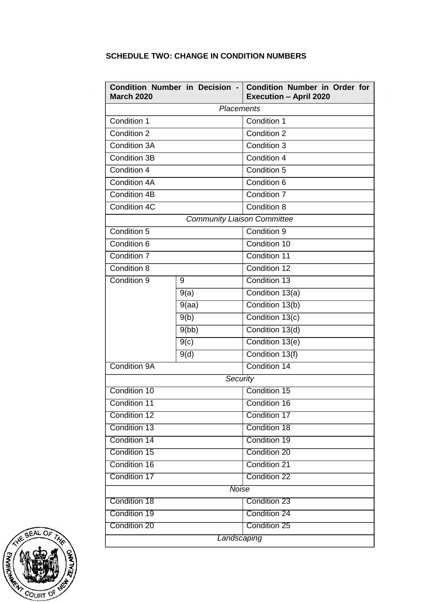# **SCHEDULE TWO: CHANGE IN CONDITION NUMBERS**

| <b>March 2020</b> | Condition Number in Decision -     | Condition Number in Order for<br><b>Execution - April 2020</b> |  |
|-------------------|------------------------------------|----------------------------------------------------------------|--|
| <b>Placements</b> |                                    |                                                                |  |
| Condition 1       |                                    | Condition 1                                                    |  |
| Condition 2       |                                    | Condition 2                                                    |  |
| Condition 3A      |                                    | Condition 3                                                    |  |
| Condition 3B      |                                    | Condition 4                                                    |  |
| Condition 4       |                                    | Condition 5                                                    |  |
| Condition 4A      |                                    | Condition 6                                                    |  |
| Condition 4B      |                                    | Condition 7                                                    |  |
| Condition 4C      |                                    | Condition 8                                                    |  |
|                   | <b>Community Liaison Committee</b> |                                                                |  |
| Condition 5       |                                    | Condition 9                                                    |  |
| Condition 6       |                                    | Condition 10                                                   |  |
| Condition 7       |                                    | Condition 11                                                   |  |
| Condition 8       |                                    | Condition 12                                                   |  |
| Condition 9       | 9                                  | Condition 13                                                   |  |
|                   | 9(a)                               | Condition 13(a)                                                |  |
|                   | 9(aa)                              | Condition 13(b)                                                |  |
|                   | 9(b)                               | Condition 13(c)                                                |  |
|                   | 9(bb)                              | Condition 13(d)                                                |  |
|                   | 9(c)                               | Condition 13(e)                                                |  |
|                   | 9(d)                               | Condition 13(f)                                                |  |
| Condition 9A      |                                    | Condition 14                                                   |  |
| Security          |                                    |                                                                |  |
| Condition 10      |                                    | Condition 15                                                   |  |
| Condition 11      |                                    | Condition 16                                                   |  |
| Condition 12      |                                    | Condition 17                                                   |  |
| Condition 13      |                                    | Condition 18                                                   |  |
| Condition 14      |                                    | Condition 19                                                   |  |
| Condition 15      |                                    | Condition 20                                                   |  |
| Condition 16      |                                    | Condition 21                                                   |  |
| Condition 17      |                                    | Condition 22                                                   |  |
| <b>Noise</b>      |                                    |                                                                |  |
| Condition 18      |                                    | Condition 23                                                   |  |
| Condition 19      |                                    | Condition 24                                                   |  |
| Condition 20      |                                    | Condition 25                                                   |  |
| Landscaping       |                                    |                                                                |  |

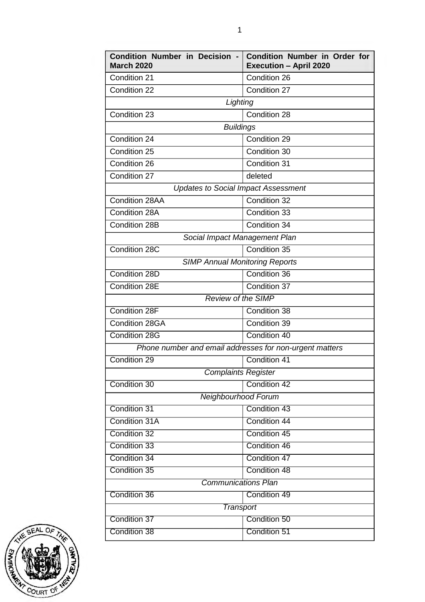| Condition Number in Decision -<br><b>March 2020</b>     | <b>Condition Number in Order for</b><br><b>Execution - April 2020</b> |  |  |  |
|---------------------------------------------------------|-----------------------------------------------------------------------|--|--|--|
| Condition 21                                            | Condition 26                                                          |  |  |  |
| Condition 22                                            | Condition 27                                                          |  |  |  |
| Lighting                                                |                                                                       |  |  |  |
| Condition 23                                            | Condition 28                                                          |  |  |  |
| <b>Buildings</b>                                        |                                                                       |  |  |  |
| Condition 24                                            | Condition 29                                                          |  |  |  |
| Condition 25                                            | Condition 30                                                          |  |  |  |
| Condition 26                                            | Condition 31                                                          |  |  |  |
| Condition 27                                            | deleted                                                               |  |  |  |
| <b>Updates to Social Impact Assessment</b>              |                                                                       |  |  |  |
| Condition 28AA                                          | Condition 32                                                          |  |  |  |
| Condition 28A                                           | Condition 33                                                          |  |  |  |
| Condition 28B                                           | Condition 34                                                          |  |  |  |
| Social Impact Management Plan                           |                                                                       |  |  |  |
| Condition 28C                                           | Condition 35                                                          |  |  |  |
| <b>SIMP Annual Monitoring Reports</b>                   |                                                                       |  |  |  |
| Condition 28D                                           | Condition 36                                                          |  |  |  |
| Condition 28E                                           | Condition 37                                                          |  |  |  |
| <b>Review of the SIMP</b>                               |                                                                       |  |  |  |
| Condition 28F                                           | Condition 38                                                          |  |  |  |
| Condition 28GA                                          | Condition 39                                                          |  |  |  |
| Condition 28G                                           | Condition 40                                                          |  |  |  |
| Phone number and email addresses for non-urgent matters |                                                                       |  |  |  |
| Condition 29                                            | Condition 41                                                          |  |  |  |
| Complaints Register                                     |                                                                       |  |  |  |
| Condition 30                                            | Condition 42                                                          |  |  |  |
| Neighbourhood Forum                                     |                                                                       |  |  |  |
| Condition 31                                            | Condition 43                                                          |  |  |  |
| Condition 31A                                           | Condition 44                                                          |  |  |  |
| Condition 32                                            | Condition 45                                                          |  |  |  |
| Condition 33                                            | Condition 46                                                          |  |  |  |
| Condition 34                                            | Condition 47                                                          |  |  |  |
| Condition 35                                            | Condition 48                                                          |  |  |  |
| <b>Communications Plan</b>                              |                                                                       |  |  |  |
| Condition 36                                            | Condition 49                                                          |  |  |  |
| Transport                                               |                                                                       |  |  |  |
| Condition 37                                            | Condition 50                                                          |  |  |  |
| Condition 38                                            | Condition 51                                                          |  |  |  |